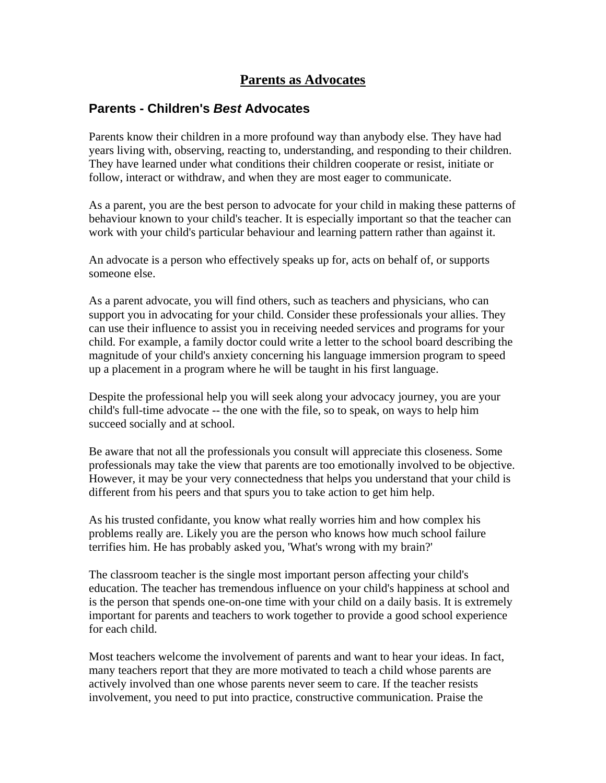# **Parents as Advocates**

## **Parents - Children's** *Best* **Advocates**

Parents know their children in a more profound way than anybody else. They have had years living with, observing, reacting to, understanding, and responding to their children. They have learned under what conditions their children cooperate or resist, initiate or follow, interact or withdraw, and when they are most eager to communicate.

As a parent, you are the best person to advocate for your child in making these patterns of behaviour known to your child's teacher. It is especially important so that the teacher can work with your child's particular behaviour and learning pattern rather than against it.

An advocate is a person who effectively speaks up for, acts on behalf of, or supports someone else.

As a parent advocate, you will find others, such as teachers and physicians, who can support you in advocating for your child. Consider these professionals your allies. They can use their influence to assist you in receiving needed services and programs for your child. For example, a family doctor could write a letter to the school board describing the magnitude of your child's anxiety concerning his language immersion program to speed up a placement in a program where he will be taught in his first language.

Despite the professional help you will seek along your advocacy journey, you are your child's full-time advocate -- the one with the file, so to speak, on ways to help him succeed socially and at school.

Be aware that not all the professionals you consult will appreciate this closeness. Some professionals may take the view that parents are too emotionally involved to be objective. However, it may be your very connectedness that helps you understand that your child is different from his peers and that spurs you to take action to get him help.

As his trusted confidante, you know what really worries him and how complex his problems really are. Likely you are the person who knows how much school failure terrifies him. He has probably asked you, 'What's wrong with my brain?'

The classroom teacher is the single most important person affecting your child's education. The teacher has tremendous influence on your child's happiness at school and is the person that spends one-on-one time with your child on a daily basis. It is extremely important for parents and teachers to work together to provide a good school experience for each child.

Most teachers welcome the involvement of parents and want to hear your ideas. In fact, many teachers report that they are more motivated to teach a child whose parents are actively involved than one whose parents never seem to care. If the teacher resists involvement, you need to put into practice, constructive communication. Praise the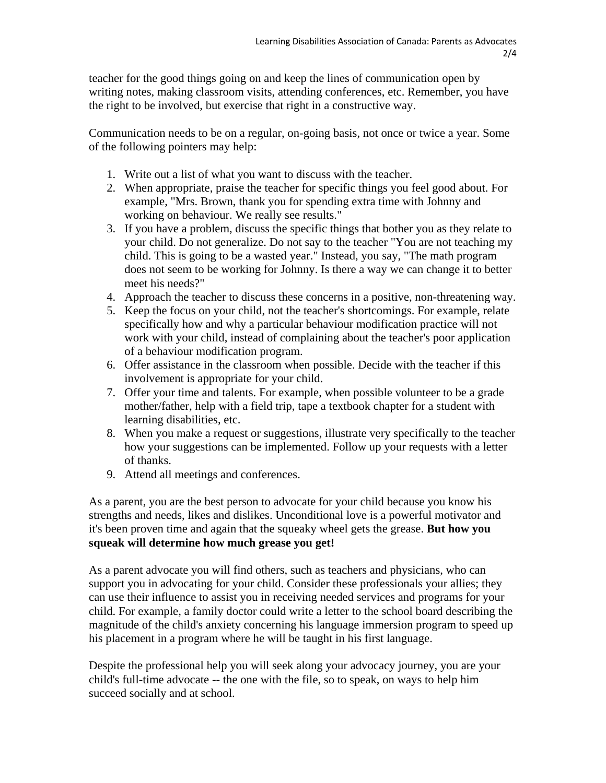teacher for the good things going on and keep the lines of communication open by writing notes, making classroom visits, attending conferences, etc. Remember, you have the right to be involved, but exercise that right in a constructive way.

Communication needs to be on a regular, on-going basis, not once or twice a year. Some of the following pointers may help:

- 1. Write out a list of what you want to discuss with the teacher.
- 2. When appropriate, praise the teacher for specific things you feel good about. For example, "Mrs. Brown, thank you for spending extra time with Johnny and working on behaviour. We really see results."
- 3. If you have a problem, discuss the specific things that bother you as they relate to your child. Do not generalize. Do not say to the teacher "You are not teaching my child. This is going to be a wasted year." Instead, you say, "The math program does not seem to be working for Johnny. Is there a way we can change it to better meet his needs?"
- 4. Approach the teacher to discuss these concerns in a positive, non-threatening way.
- 5. Keep the focus on your child, not the teacher's shortcomings. For example, relate specifically how and why a particular behaviour modification practice will not work with your child, instead of complaining about the teacher's poor application of a behaviour modification program.
- 6. Offer assistance in the classroom when possible. Decide with the teacher if this involvement is appropriate for your child.
- 7. Offer your time and talents. For example, when possible volunteer to be a grade mother/father, help with a field trip, tape a textbook chapter for a student with learning disabilities, etc.
- 8. When you make a request or suggestions, illustrate very specifically to the teacher how your suggestions can be implemented. Follow up your requests with a letter of thanks.
- 9. Attend all meetings and conferences.

As a parent, you are the best person to advocate for your child because you know his strengths and needs, likes and dislikes. Unconditional love is a powerful motivator and it's been proven time and again that the squeaky wheel gets the grease. **But how you squeak will determine how much grease you get!** 

As a parent advocate you will find others, such as teachers and physicians, who can support you in advocating for your child. Consider these professionals your allies; they can use their influence to assist you in receiving needed services and programs for your child. For example, a family doctor could write a letter to the school board describing the magnitude of the child's anxiety concerning his language immersion program to speed up his placement in a program where he will be taught in his first language.

Despite the professional help you will seek along your advocacy journey, you are your child's full-time advocate -- the one with the file, so to speak, on ways to help him succeed socially and at school.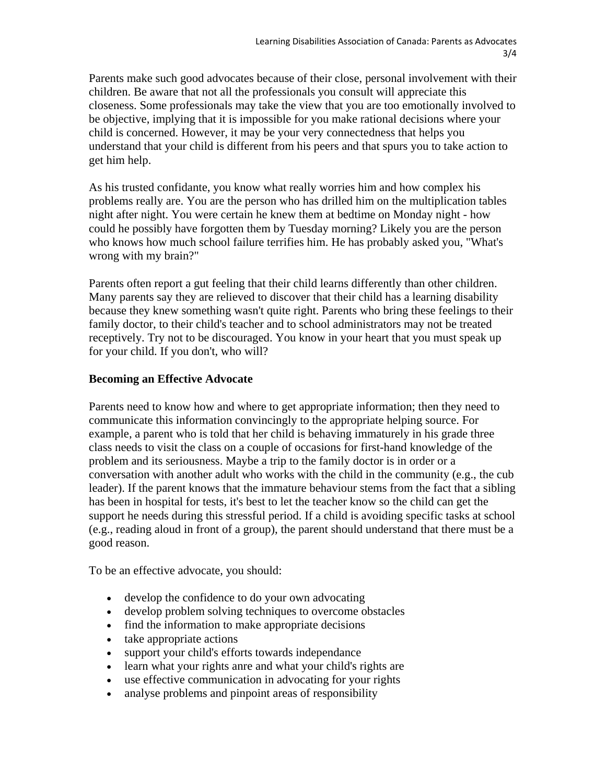Parents make such good advocates because of their close, personal involvement with their children. Be aware that not all the professionals you consult will appreciate this closeness. Some professionals may take the view that you are too emotionally involved to be objective, implying that it is impossible for you make rational decisions where your child is concerned. However, it may be your very connectedness that helps you understand that your child is different from his peers and that spurs you to take action to get him help.

As his trusted confidante, you know what really worries him and how complex his problems really are. You are the person who has drilled him on the multiplication tables night after night. You were certain he knew them at bedtime on Monday night - how could he possibly have forgotten them by Tuesday morning? Likely you are the person who knows how much school failure terrifies him. He has probably asked you, "What's wrong with my brain?"

Parents often report a gut feeling that their child learns differently than other children. Many parents say they are relieved to discover that their child has a learning disability because they knew something wasn't quite right. Parents who bring these feelings to their family doctor, to their child's teacher and to school administrators may not be treated receptively. Try not to be discouraged. You know in your heart that you must speak up for your child. If you don't, who will?

## **Becoming an Effective Advocate**

Parents need to know how and where to get appropriate information; then they need to communicate this information convincingly to the appropriate helping source. For example, a parent who is told that her child is behaving immaturely in his grade three class needs to visit the class on a couple of occasions for first-hand knowledge of the problem and its seriousness. Maybe a trip to the family doctor is in order or a conversation with another adult who works with the child in the community (e.g., the cub leader). If the parent knows that the immature behaviour stems from the fact that a sibling has been in hospital for tests, it's best to let the teacher know so the child can get the support he needs during this stressful period. If a child is avoiding specific tasks at school (e.g., reading aloud in front of a group), the parent should understand that there must be a good reason.

To be an effective advocate, you should:

- develop the confidence to do your own advocating
- develop problem solving techniques to overcome obstacles
- find the information to make appropriate decisions
- take appropriate actions
- support your child's efforts towards independance
- learn what your rights anre and what your child's rights are
- use effective communication in advocating for your rights
- analyse problems and pinpoint areas of responsibility